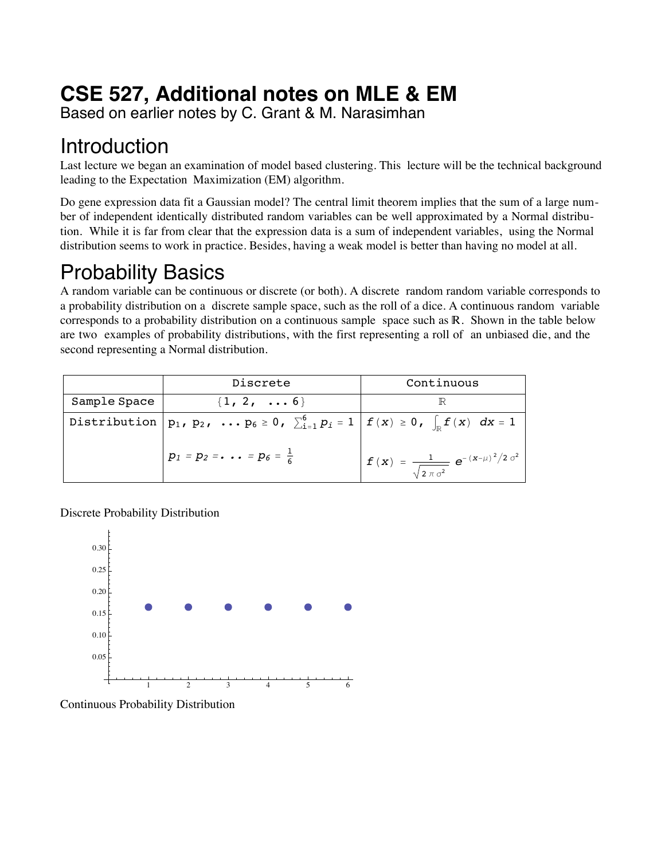# **CSE 527, Additional notes on MLE & EM**

Based on earlier notes by C. Grant & M. Narasimhan

## **Introduction**

Last lecture we began an examination of model based clustering. This lecture will be the technical background leading to the Expectation Maximization (EM) algorithm.

Do gene expression data fit a Gaussian model? The central limit theorem implies that the sum of a large number of independent identically distributed random variables can be well approximated by a Normal distribution. While it is far from clear that the expression data is a sum of independent variables, using the Normal distribution seems to work in practice. Besides, having a weak model is better than having no model at all.

# Probability Basics

A random variable can be continuous or discrete (or both). A discrete random random variable corresponds to a probability distribution on a discrete sample space, such as the roll of a dice. A continuous random variable corresponds to a probability distribution on a continuous sample space such as  $\mathbb{R}$ . Shown in the table below are two examples of probability distributions, with the first representing a roll of an unbiased die, and the second representing a Normal distribution.

|              | Discrete                                                                                                                | Continuous                                                         |
|--------------|-------------------------------------------------------------------------------------------------------------------------|--------------------------------------------------------------------|
| Sample Space | $\{1, 2, \ldots 6\}$                                                                                                    |                                                                    |
|              | Distribution $p_1$ , $p_2$ , $\ldots p_6 \ge 0$ , $\sum_{i=1}^6 p_i = 1  f(x)  \ge 0$ , $\int_{\mathbb{R}} f(x) dx = 1$ |                                                                    |
|              | $p_1 = p_2 = \cdots = p_6 = \frac{1}{6}$                                                                                | $f(x) = \frac{1}{\sqrt{2 \pi \sigma^2}} e^{-(x-\mu)^2/2 \sigma^2}$ |

Discrete Probability Distribution



Continuous Probability Distribution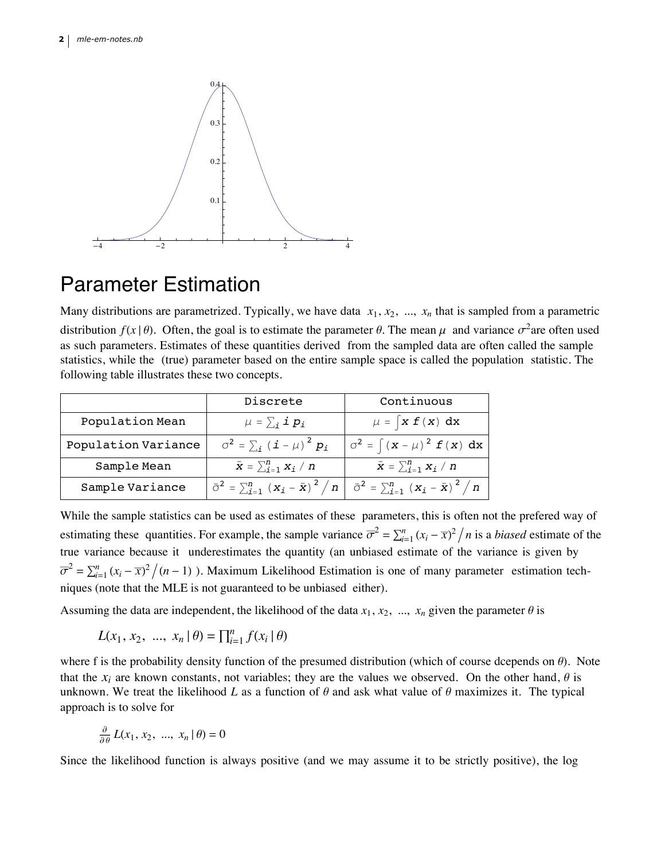

### Parameter Estimation

Many distributions are parametrized. Typically, we have data  $x_1, x_2, ..., x_n$  that is sampled from a parametric distribution  $f(x | \theta)$ . Often, the goal is to estimate the parameter  $\theta$ . The mean  $\mu$  and variance  $\sigma^2$ are often used as such parameters. Estimates of these quantities derived from the sampled data are often called the sample statistics, while the (true) parameter based on the entire sample space is called the population statistic. The following table illustrates these two concepts.

|                     | Discrete                                         | Continuous                                                                                                     |
|---------------------|--------------------------------------------------|----------------------------------------------------------------------------------------------------------------|
| Population Mean     | $\mu = \sum_i \mathbf{i} p_i$                    | $\mu = \int x f(x) dx$                                                                                         |
| Population Variance | $\sigma^2 = \sum_i (\boldsymbol{i} - \mu)^2 p_i$ | $\sigma^2 = \int (x - \mu)^2 f(x) dx$                                                                          |
| Sample Mean         | $\bar{x} = \sum_{i=1}^{n} x_i / n$               | $\bar{x} = \sum_{i=1}^{n} x_i / n$                                                                             |
| Sample Variance     |                                                  | $\bar{\sigma}^2 = \sum_{i=1}^n (x_i - \bar{x})^2 / n \mid \bar{\sigma}^2 = \sum_{i=1}^n (x_i - \bar{x})^2 / n$ |

While the sample statistics can be used as estimates of these parameters, this is often not the prefered way of estimating these quantities. For example, the sample variance  $\overline{\sigma}^2 = \sum_{i=1}^n (x_i - \overline{x})^2 / n$  is a *biased* estimate of the true variance because it underestimates the quantity (an unbiased estimate of the variance is given by  $\overline{\sigma}^2 = \sum_{i=1}^n (x_i - \overline{x})^2 / (n-1)$ ). Maximum Likelihood Estimation is one of many parameter estimation techniques (note that the MLE is not guaranteed to be unbiased either).

Assuming the data are independent, the likelihood of the data  $x_1, x_2, ..., x_n$  given the parameter  $\theta$  is

$$
L(x_1, x_2, ..., x_n | \theta) = \prod_{i=1}^n f(x_i | \theta)
$$

where f is the probability density function of the presumed distribution (which of course dcepends on  $\theta$ ). Note that the  $x_i$  are known constants, not variables; they are the values we observed. On the other hand,  $\theta$  is unknown. We treat the likelihood *L* as a function of  $\theta$  and ask what value of  $\theta$  maximizes it. The typical approach is to solve for

$$
\frac{\partial}{\partial \theta} L(x_1, x_2, \dots, x_n | \theta) = 0
$$

Since the likelihood function is always positive (and we may assume it to be strictly positive), the log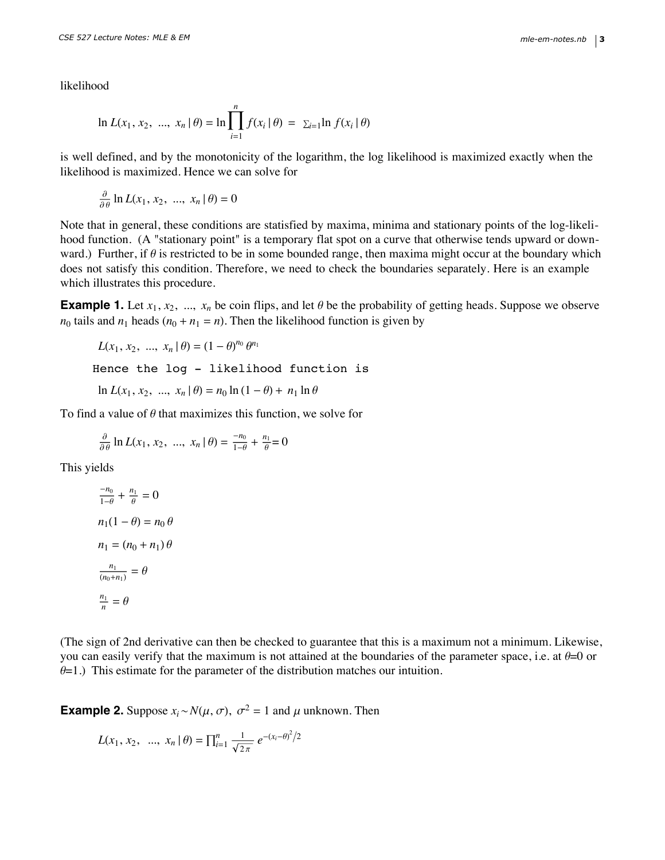likelihood

$$
\ln L(x_1, x_2, ..., x_n | \theta) = \ln \prod_{i=1}^n f(x_i | \theta) = \sum_{i=1}^n \ln f(x_i | \theta)
$$

is well defined, and by the monotonicity of the logarithm, the log likelihood is maximized exactly when the likelihood is maximized. Hence we can solve for

Since the likelihood function is always positive (and we may assume it to be strictly positive), the log

$$
\frac{\partial}{\partial \theta} \ln L(x_1, x_2, \dots, x_n | \theta) = 0
$$

Note that in general, these conditions are statisfied by maxima, minima and stationary points of the log-likelihood function. (A "stationary point" is a temporary flat spot on a curve that otherwise tends upward or downward.) Further, if  $\theta$  is restricted to be in some bounded range, then maxima might occur at the boundary which does not satisfy this condition. Therefore, we need to check the boundaries separately. Here is an example which illustrates this procedure.

**Example 1.** Let  $x_1, x_2, ..., x_n$  be coin flips, and let  $\theta$  be the probability of getting heads. Suppose we observe  $n_0$  tails and  $n_1$  heads  $(n_0 + n_1 = n)$ . Then the likelihood function is given by

$$
L(x_1, x_2, ..., x_n | \theta) = (1 - \theta)^{n_0} \theta^{n_1}
$$
  
Hence the log - likelihood function is  

$$
\ln L(x_1, x_2, ..., x_n | \theta) = n_0 \ln (1 - \theta) + n_1 \ln \theta
$$

To find a value of  $\theta$  that maximizes this function, we solve for

$$
\frac{\partial}{\partial \theta} \ln L(x_1, x_2, \dots, x_n | \theta) = \frac{-n_0}{1 - \theta} + \frac{n_1}{\theta} = 0
$$

This yields

$$
\frac{-n_0}{1-\theta} + \frac{n_1}{\theta} = 0
$$
  
\n
$$
n_1(1-\theta) = n_0 \theta
$$
  
\n
$$
n_1 = (n_0 + n_1) \theta
$$
  
\n
$$
\frac{n_1}{(n_0 + n_1)} = \theta
$$
  
\n
$$
\frac{n_1}{n} = \theta
$$

(The sign of 2nd derivative can then be checked to guarantee that this is a maximum not a minimum. Likewise, you can easily verify that the maximum is not attained at the boundaries of the parameter space, i.e. at  $\theta=0$  or  $\theta$ =1.) This estimate for the parameter of the distribution matches our intuition.

**Example 2.** Suppose  $x_i \sim N(\mu, \sigma)$ ,  $\sigma^2 = 1$  and  $\mu$  unknown. Then

$$
L(x_1, x_2, ..., x_n | \theta) = \prod_{i=1}^n \frac{1}{\sqrt{2\pi}} e^{-(x_i - \theta)^2/2}
$$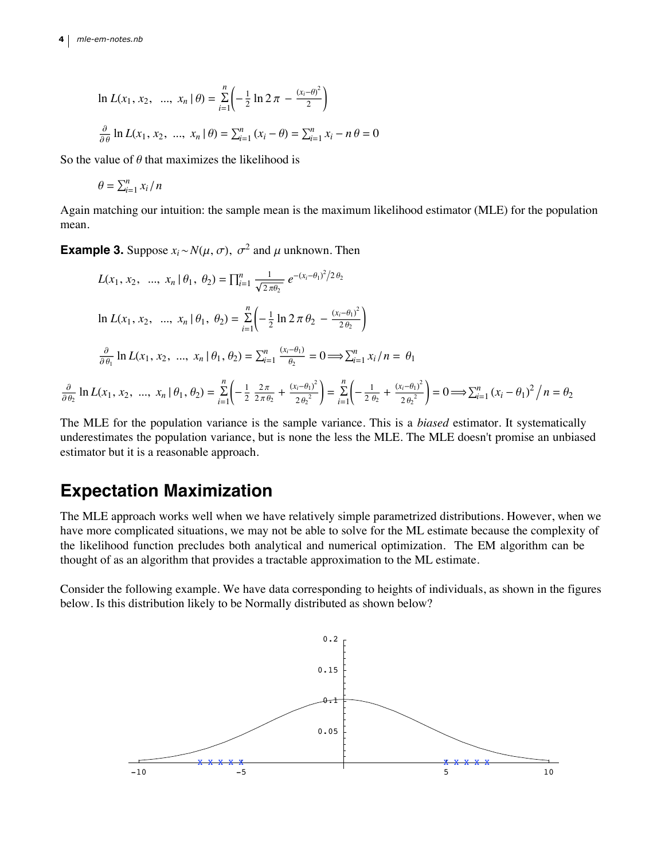∂  $\partial \theta_2$ 

$$
\ln L(x_1, x_2, ..., x_n | \theta) = \sum_{i=1}^n \left( -\frac{1}{2} \ln 2 \pi - \frac{(x_i - \theta)^2}{2} \right)
$$
  

$$
\frac{\partial}{\partial \theta} \ln L(x_1, x_2, ..., x_n | \theta) = \sum_{i=1}^n (x_i - \theta) = \sum_{i=1}^n x_i - n \theta = 0
$$

So the value of  $\theta$  that maximizes the likelihood is

$$
\theta = \sum_{i=1}^n x_i / n
$$

Again matching our intuition: the sample mean is the maximum likelihood estimator (MLE) for the population mean.

**Example 3.** Suppose  $x_i \sim N(\mu, \sigma)$ ,  $\sigma^2$  and  $\mu$  unknown. Then

$$
L(x_1, x_2, ..., x_n | \theta_1, \theta_2) = \prod_{i=1}^n \frac{1}{\sqrt{2\pi\theta_2}} e^{-(x_i - \theta_1)^2/2\theta_2}
$$
  
\n
$$
\ln L(x_1, x_2, ..., x_n | \theta_1, \theta_2) = \sum_{i=1}^n \left( -\frac{1}{2} \ln 2\pi \theta_2 - \frac{(x_i - \theta_1)^2}{2\theta_2} \right)
$$
  
\n
$$
\frac{\partial}{\partial \theta_1} \ln L(x_1, x_2, ..., x_n | \theta_1, \theta_2) = \sum_{i=1}^n \frac{(x_i - \theta_1)}{\theta_2} = 0 \implies \sum_{i=1}^n x_i / n = \theta_1
$$
  
\n
$$
\ln L(x_1, x_2, ..., x_n | \theta_1, \theta_2) = \sum_{i=1}^n \left( -\frac{1}{2} \frac{2\pi}{2\pi\theta_2} + \frac{(x_i - \theta_1)^2}{2\theta_2^2} \right) = \sum_{i=1}^n \left( -\frac{1}{2\theta_2} + \frac{(x_i - \theta_1)^2}{2\theta_2^2} \right) = 0 \implies \sum_{i=1}^n (x_i - \theta_1)^2 / n = \theta_2
$$

The MLE for the population variance is the sample variance. This is a *biased* estimator. It systematically underestimates the population variance, but is none the less the MLE. The MLE doesn't promise an unbiased estimator but it is a reasonable approach.

### **Expectation Maximization**

The MLE approach works well when we have relatively simple parametrized distributions. However, when we have more complicated situations, we may not be able to solve for the ML estimate because the complexity of the likelihood function precludes both analytical and numerical optimization. The EM algorithm can be thought of as an algorithm that provides a tractable approximation to the ML estimate.

Consider the following example. We have data corresponding to heights of individuals, as shown in the figures below. Is this distribution likely to be Normally distributed as shown below?

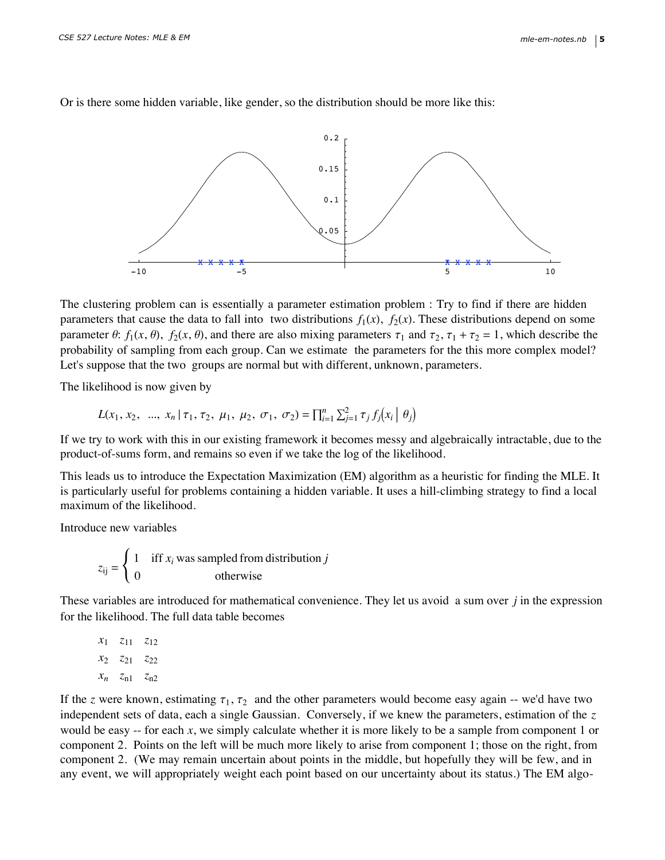

Or is there some hidden variable, like gender, so the distribution should be more like this:

The clustering problem can is essentially a parameter estimation problem : Try to find if there are hidden parameters that cause the data to fall into two distributions  $f_1(x)$ ,  $f_2(x)$ . These distributions depend on some parameter  $\theta$ :  $f_1(x, \theta)$ ,  $f_2(x, \theta)$ , and there are also mixing parameters  $\tau_1$  and  $\tau_2$ ,  $\tau_1 + \tau_2 = 1$ , which describe the probability of sampling from each group. Can we estimate the parameters for the this more complex model? Let's suppose that the two groups are normal but with different, unknown, parameters.

The likelihood is now given by

$$
L(x_1, x_2, \ldots, x_n | \tau_1, \tau_2, \mu_1, \mu_2, \sigma_1, \sigma_2) = \prod_{i=1}^n \sum_{j=1}^2 \tau_j f_j(x_i | \theta_j)
$$

If we try to work with this in our existing framework it becomes messy and algebraically intractable, due to the product-of-sums form, and remains so even if we take the log of the likelihood.

This leads us to introduce the Expectation Maximization (EM) algorithm as a heuristic for finding the MLE. It is particularly useful for problems containing a hidden variable. It uses a hill-climbing strategy to find a local maximum of the likelihood.

Introduce new variables

$$
z_{ij} = \begin{cases} 1 & \text{iff } x_i \text{ was sampled from distribution } j \\ 0 & \text{otherwise} \end{cases}
$$

These variables are introduced for mathematical convenience. They let us avoid a sum over *j* in the expression for the likelihood. The full data table becomes

$$
x_1 \quad z_{11} \quad z_{12}
$$
  

$$
x_2 \quad z_{21} \quad z_{22}
$$
  

$$
x_n \quad z_{n1} \quad z_{n2}
$$

If the *z* were known, estimating  $\tau_1$ ,  $\tau_2$  and the other parameters would become easy again -- we'd have two independent sets of data, each a single Gaussian. Conversely, if we knew the parameters, estimation of the *z* would be easy -- for each *x*, we simply calculate whether it is more likely to be a sample from component 1 or component 2. Points on the left will be much more likely to arise from component 1; those on the right, from component 2. (We may remain uncertain about points in the middle, but hopefully they will be few, and in any event, we will appropriately weight each point based on our uncertainty about its status.) The EM algo-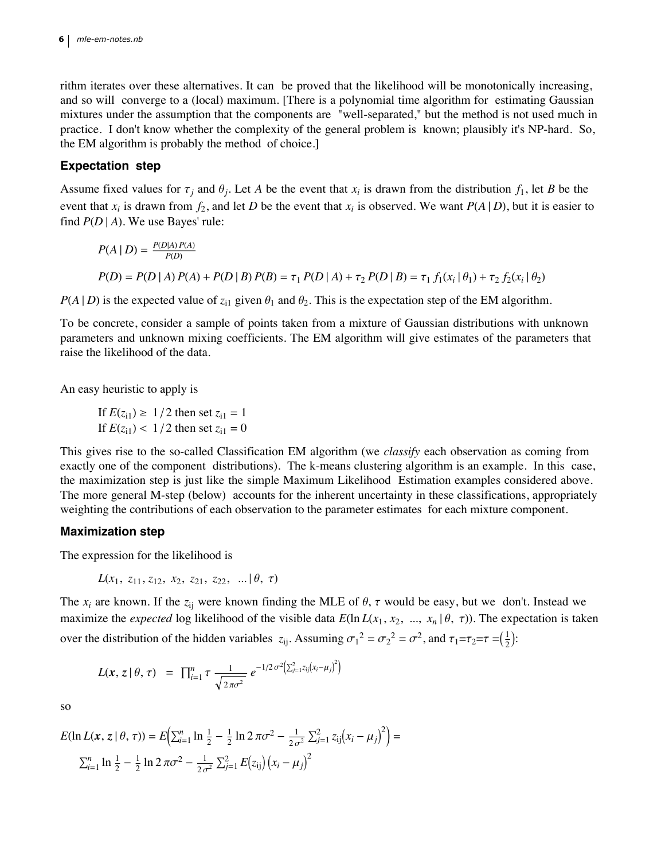#### $\mathbf{5}$  | mle-em-notes.nb  $\,$ **6** *mle-em-notes.nb*

rithm iterates over these alternatives. It can be proved that the likelihood will be monotonically increasing, and so will converge to a (local) maximum. [There is a polynomial time algorithm for estimating Gaussian mixtures under the assumption that the components are "well-separated," but the method is not used much in practice. I don't know whether the complexity of the general problem is known; plausibly it's NP-hard. So, the EM algorithm is probably the method of choice.]

any event, we will appropriately weight each point based on our uncertainty about its status.) The EM algo-

### **Expectation step**

Assume fixed values for  $\tau_j$  and  $\theta_j$ . Let A be the event that  $x_i$  is drawn from the distribution  $f_1$ , let B be the event that  $x_i$  is drawn from  $f_2$ , and let *D* be the event that  $x_i$  is observed. We want  $P(A | D)$ , but it is easier to find  $P(D | A)$ . We use Bayes' rule:

$$
P(A | D) = \frac{P(D|A) P(A)}{P(D)}
$$
  
 
$$
P(D) = P(D | A) P(A) + P(D | B) P(B) = \tau_1 P(D | A) + \tau_2 P(D | B) = \tau_1 f_1(x_i | \theta_1) + \tau_2 f_2(x_i | \theta_2)
$$

 $P(A | D)$  is the expected value of  $z_{i1}$  given  $\theta_1$  and  $\theta_2$ . This is the expectation step of the EM algorithm.

To be concrete, consider a sample of points taken from a mixture of Gaussian distributions with unknown parameters and unknown mixing coefficients. The EM algorithm will give estimates of the parameters that raise the likelihood of the data.

An easy heuristic to apply is

If  $E(z_{i1}) \ge 1/2$  then set  $z_{i1} = 1$ If  $E(z_{i1}) < 1/2$  then set  $z_{i1} = 0$ 

This gives rise to the so-called Classification EM algorithm (we *classify* each observation as coming from exactly one of the component distributions). The k-means clustering algorithm is an example. In this case, the maximization step is just like the simple Maximum Likelihood Estimation examples considered above. The more general M-step (below) accounts for the inherent uncertainty in these classifications, appropriately weighting the contributions of each observation to the parameter estimates for each mixture component.

### **Maximization step**

The expression for the likelihood is

$$
L(x_1, z_{11}, z_{12}, x_2, z_{21}, z_{22}, \ldots | \theta, \tau)
$$

The  $x_i$  are known. If the  $z_{ij}$  were known finding the MLE of  $\theta$ ,  $\tau$  would be easy, but we don't. Instead we maximize the *expected* log likelihood of the visible data  $E(\ln L(x_1, x_2, ..., x_n | \theta, \tau))$ . The expectation is taken over the distribution of the hidden variables  $z_{ij}$ . Assuming  $\sigma_1^2 = \sigma_2^2 = \sigma^2$ , and  $\tau_1 = \tau_2 = \tau = (\frac{1}{2})$ :

$$
L(\mathbf{x}, \, \mathbf{z} \, | \, \theta, \, \tau) = \prod_{i=1}^{n} \tau \, \frac{1}{\sqrt{2 \pi \sigma^2}} \, e^{-1/2 \, \sigma^2 \left( \sum_{j=1}^{2} z_{ij} (x_i - \mu_j)^2 \right)}
$$

so

$$
E(\ln L(\mathbf{x}, z \mid \theta, \tau)) = E\Big(\sum_{i=1}^{n} \ln \frac{1}{2} - \frac{1}{2} \ln 2 \pi \sigma^2 - \frac{1}{2\sigma^2} \sum_{j=1}^{2} z_{ij} (x_i - \mu_j)^2\Big) =
$$
  

$$
\sum_{i=1}^{n} \ln \frac{1}{2} - \frac{1}{2} \ln 2 \pi \sigma^2 - \frac{1}{2\sigma^2} \sum_{j=1}^{2} E(z_{ij}) (x_i - \mu_j)^2
$$